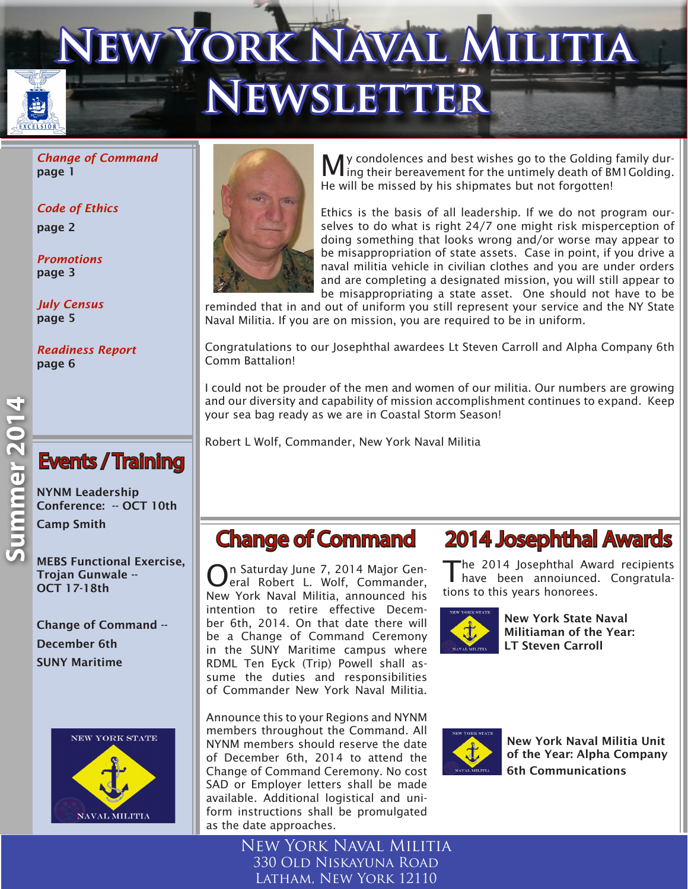# **New York Naval Militia Newsletter**

*Change of Command* page 1

*Code of Ethics*

page 2

*Promotions* page 3

*July Census* page 5

*Readiness Report* page 6

## Events / Training

NYNM Leadership Conference: -- OCT 10th Camp Smith

MEBS Functional Exercise, Trojan Gunwale -- OCT 17-18th

Change of Command -- December 6th SUNY Maritime





My condolences and best wishes go to the Golding family dur-ing their bereavement for the untimely death of BM1Golding. He will be missed by his shipmates but not forgotten!

Ethics is the basis of all leadership. If we do not program ourselves to do what is right 24/7 one might risk misperception of doing something that looks wrong and/or worse may appear to be misappropriation of state assets. Case in point, if you drive a naval militia vehicle in civilian clothes and you are under orders and are completing a designated mission, you will still appear to be misappropriating a state asset. One should not have to be

reminded that in and out of uniform you still represent your service and the NY State Naval Militia. If you are on mission, you are required to be in uniform.

Congratulations to our Josephthal awardees Lt Steven Carroll and Alpha Company 6th Comm Battalion!

I could not be prouder of the men and women of our militia. Our numbers are growing and our diversity and capability of mission accomplishment continues to expand. Keep your sea bag ready as we are in Coastal Storm Season!

Robert L Wolf, Commander, New York Naval Militia

## Change of Command

n Saturday June 7, 2014 Major General Robert L. Wolf, Commander, New York Naval Militia, announced his intention to retire effective December 6th, 2014. On that date there will be a Change of Command Ceremony in the SUNY Maritime campus where RDML Ten Eyck (Trip) Powell shall assume the duties and responsibilities of Commander New York Naval Militia.

Announce this to your Regions and NYNM members throughout the Command. All NYNM members should reserve the date of December 6th, 2014 to attend the Change of Command Ceremony. No cost SAD or Employer letters shall be made available. Additional logistical and uniform instructions shall be promulgated as the date approaches.

## 2014 Josephthal Awards

The 2014 Josephthal Award recipients have been annoiunced. Congratulations to this years honorees.



New York State Naval Militiaman of the Year: LT Steven Carroll



New York Naval Militia Unit of the Year: Alpha Company 6th Communications

New York Naval Militia 330 Old Niskayuna Road Latham, New York 12110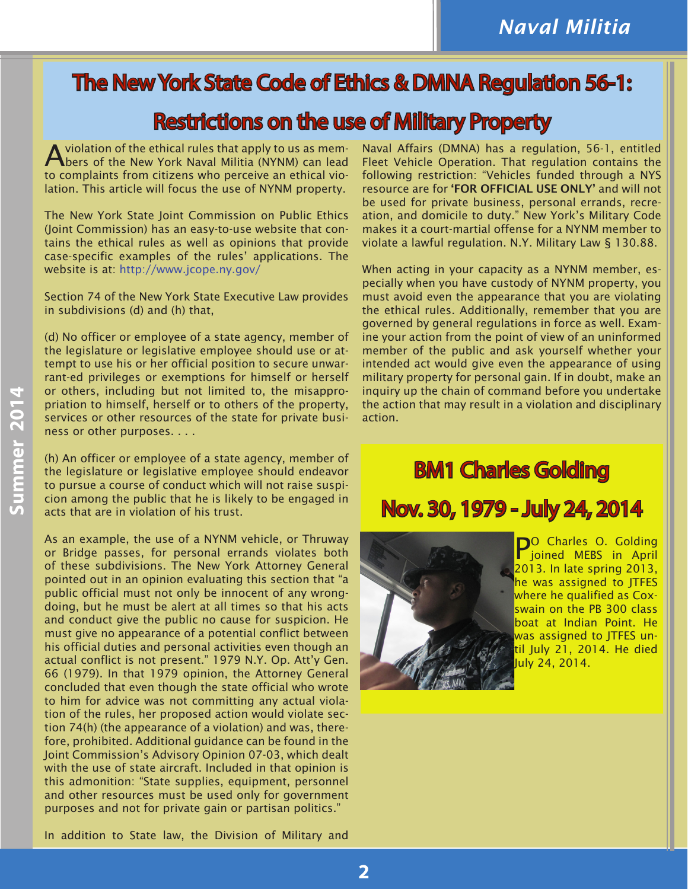## The New York State Code of Ethics & DMNA Regulation 56-1:

#### Restrictions on the use of Military Property

violation of the ethical rules that apply to us as members of the New York Naval Militia (NYNM) can lead to complaints from citizens who perceive an ethical violation. This article will focus the use of NYNM property.

The New York State Joint Commission on Public Ethics (Joint Commission) has an easy-to-use website that contains the ethical rules as well as opinions that provide case-specific examples of the rules' applications. The website is at: http://www.jcope.ny.gov/

Section 74 of the New York State Executive Law provides in subdivisions (d) and (h) that,

(d) No officer or employee of a state agency, member of the legislature or legislative employee should use or attempt to use his or her official position to secure unwarrant-ed privileges or exemptions for himself or herself or others, including but not limited to, the misappropriation to himself, herself or to others of the property, services or other resources of the state for private business or other purposes. . . .

(h) An officer or employee of a state agency, member of the legislature or legislative employee should endeavor to pursue a course of conduct which will not raise suspicion among the public that he is likely to be engaged in acts that are in violation of his trust.

As an example, the use of a NYNM vehicle, or Thruway or Bridge passes, for personal errands violates both of these subdivisions. The New York Attorney General pointed out in an opinion evaluating this section that "a public official must not only be innocent of any wrongdoing, but he must be alert at all times so that his acts and conduct give the public no cause for suspicion. He must give no appearance of a potential conflict between his official duties and personal activities even though an actual conflict is not present." 1979 N.Y. Op. Att'y Gen. 66 (1979). In that 1979 opinion, the Attorney General concluded that even though the state official who wrote to him for advice was not committing any actual violation of the rules, her proposed action would violate section 74(h) (the appearance of a violation) and was, therefore, prohibited. Additional guidance can be found in the Joint Commission's Advisory Opinion 07-03, which dealt with the use of state aircraft. Included in that opinion is this admonition: "State supplies, equipment, personnel and other resources must be used only for government purposes and not for private gain or partisan politics."

Naval Affairs (DMNA) has a regulation, 56-1, entitled Fleet Vehicle Operation. That regulation contains the following restriction: "Vehicles funded through a NYS resource are for 'FOR OFFICIAL USE ONLY' and will not be used for private business, personal errands, recreation, and domicile to duty." New York's Military Code makes it a court-martial offense for a NYNM member to violate a lawful regulation. N.Y. Military Law § 130.88.

When acting in your capacity as a NYNM member, especially when you have custody of NYNM property, you must avoid even the appearance that you are violating the ethical rules. Additionally, remember that you are governed by general regulations in force as well. Examine your action from the point of view of an uninformed member of the public and ask yourself whether your intended act would give even the appearance of using military property for personal gain. If in doubt, make an inquiry up the chain of command before you undertake the action that may result in a violation and disciplinary action.

## BM1 Charles Golding Nov. 30, 1979 - July 24, 2014



PO Charles O. Golding joined MEBS in April 2013. In late spring 2013, he was assigned to JTFES where he qualified as Coxswain on the PB 300 class boat at Indian Point. He was assigned to JTFES until July 21, 2014. He died July 24, 2014.

**Summer 2014** mmer 2014

In addition to State law, the Division of Military and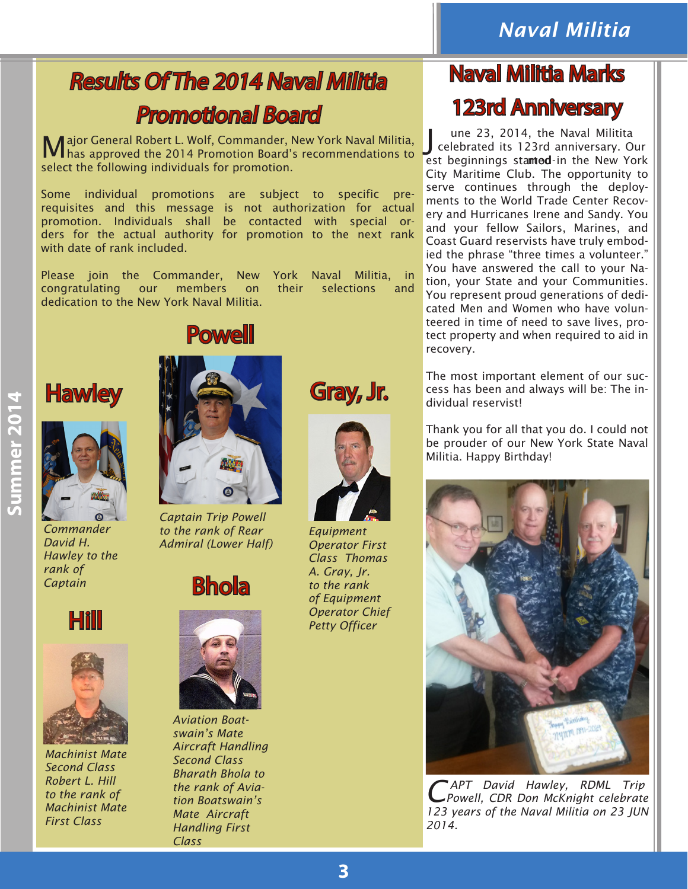## Results Of The 2014 Naval Militia Promotional Board

Major General Robert L. Wolf, Commander, New York Naval Militia, has approved the 2014 Promotion Board's recommendations to select the following individuals for promotion.

Some individual promotions are subject to specific prerequisites and this message is not authorization for actual promotion. Individuals shall be contacted with special orders for the actual authority for promotion to the next rank with date of rank included.

Please join the Commander, New York Naval Militia, in congratulating our members on their selections and dedication to the New York Naval Militia.

## **Hawley**



**Summer 2014**

*Commander David H. Hawley to the rank of Captain*





*Machinist Mate Second Class Robert L. Hill to the rank of Machinist Mate First Class*



**Powell** 

*Captain Trip Powell to the rank of Rear Admiral (Lower Half)* 

## Bhola



*Aviation Boatswain's Mate Aircraft Handling Second Class Bharath Bhola to the rank of Aviation Boatswain's Mate Aircraft Handling First Class*

# Naval Militia Marks 123rd Anniversary

J une 23, 2014, the Naval Militita<br>
celebrated its 123rd anniversary. Our est beginnings stamted-in the New York City Maritime Club. The opportunity to serve continues through the deployments to the World Trade Center Recovery and Hurricanes Irene and Sandy. You and your fellow Sailors, Marines, and Coast Guard reservists have truly embodied the phrase "three times a volunteer." You have answered the call to your Nation, your State and your Communities. You represent proud generations of dedicated Men and Women who have volunteered in time of need to save lives, protect property and when required to aid in recovery.

The most important element of our success has been and always will be: The individual reservist!

Thank you for all that you do. I could not be prouder of our New York State Naval Militia. Happy Birthday!



*C APT David Hawley, RDML Trip Powell, CDR Don McKnight celebrate 123 years of the Naval Militia on 23 JUN 2014.*





*Equipment Operator First Class Thomas A. Gray, Jr. to the rank of Equipment Operator Chief Petty Officer*